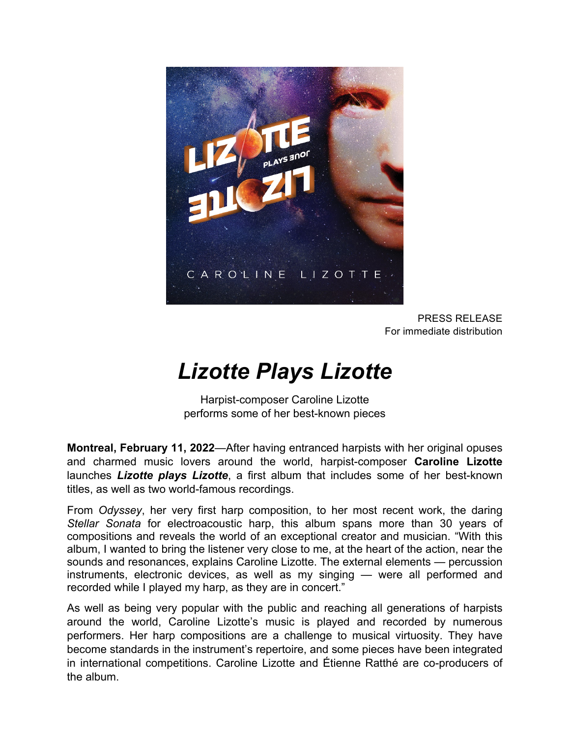

PRESS RELEASE For immediate distribution

## *Lizotte Plays Lizotte*

Harpist-composer Caroline Lizotte performs some of her best-known pieces

**Montreal, February 11, 2022**—After having entranced harpists with her original opuses and charmed music lovers around the world, harpist-composer **Caroline Lizotte** launches *Lizotte plays Lizotte*, a first album that includes some of her best-known titles, as well as two world-famous recordings.

From *Odyssey*, her very first harp composition, to her most recent work, the daring *Stellar Sonata* for electroacoustic harp, this album spans more than 30 years of compositions and reveals the world of an exceptional creator and musician. "With this album, I wanted to bring the listener very close to me, at the heart of the action, near the sounds and resonances, explains Caroline Lizotte. The external elements — percussion instruments, electronic devices, as well as my singing — were all performed and recorded while I played my harp, as they are in concert."

As well as being very popular with the public and reaching all generations of harpists around the world, Caroline Lizotte's music is played and recorded by numerous performers. Her harp compositions are a challenge to musical virtuosity. They have become standards in the instrument's repertoire, and some pieces have been integrated in international competitions. Caroline Lizotte and Étienne Ratthé are co-producers of the album.